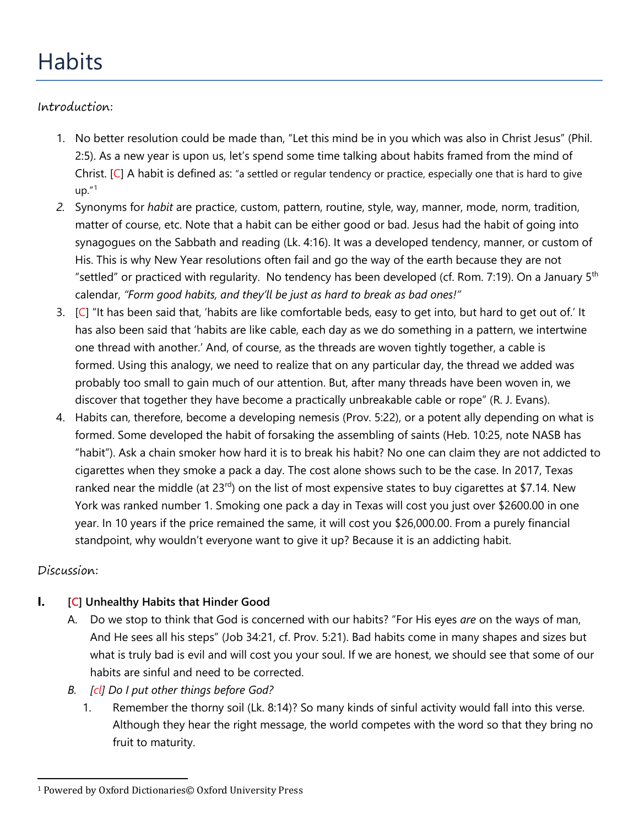# **Habits**

# Introduction:

- 1. No better resolution could be made than, "Let this mind be in you which was also in Christ Jesus" (Phil. 2:5). As a new year is upon us, let's spend some time talking about habits framed from the mind of Christ.  $[C]$  A habit is defined as: "a settled or regular tendency or practice, especially one that is hard to give  $up.$ "[1](#page-0-0)
- *2.* Synonyms for *habit* are practice, custom, pattern, routine, style, way, manner, mode, norm, tradition, matter of course, etc. Note that a habit can be either good or bad. Jesus had the habit of going into synagogues on the Sabbath and reading (Lk. 4:16). It was a developed tendency, manner, or custom of His. This is why New Year resolutions often fail and go the way of the earth because they are not "settled" or practiced with regularity. No tendency has been developed (cf. Rom. 7:19). On a January  $5<sup>th</sup>$ calendar, *"Form good habits, and they'll be just as hard to break as bad ones!"*
- 3.  $[C]$  "It has been said that, 'habits are like comfortable beds, easy to get into, but hard to get out of.' It has also been said that 'habits are like cable, each day as we do something in a pattern, we intertwine one thread with another.' And, of course, as the threads are woven tightly together, a cable is formed. Using this analogy, we need to realize that on any particular day, the thread we added was probably too small to gain much of our attention. But, after many threads have been woven in, we discover that together they have become a practically unbreakable cable or rope" (R. J. Evans).
- 4. Habits can, therefore, become a developing nemesis (Prov. 5:22), or a potent ally depending on what is formed. Some developed the habit of forsaking the assembling of saints (Heb. 10:25, note NASB has "habit"). Ask a chain smoker how hard it is to break his habit? No one can claim they are not addicted to cigarettes when they smoke a pack a day. The cost alone shows such to be the case. In 2017, Texas ranked near the middle (at  $23<sup>rd</sup>$ ) on the list of most expensive states to buy cigarettes at \$7.14. New York was ranked number 1. Smoking one pack a day in Texas will cost you just over \$2600.00 in one year. In 10 years if the price remained the same, it will cost you \$26,000.00. From a purely financial standpoint, why wouldn't everyone want to give it up? Because it is an addicting habit.

# Discussion:

# **I. [C] Unhealthy Habits that Hinder Good**

- A. Do we stop to think that God is concerned with our habits? "For His eyes *are* on the ways of man, And He sees all his steps" (Job 34:21, cf. Prov. 5:21). Bad habits come in many shapes and sizes but what is truly bad is evil and will cost you your soul. If we are honest, we should see that some of our habits are sinful and need to be corrected.
- *B. [cl] Do I put other things before God?*
	- 1. Remember the thorny soil (Lk. 8:14)? So many kinds of sinful activity would fall into this verse. Although they hear the right message, the world competes with the word so that they bring no fruit to maturity.

<span id="page-0-0"></span> <sup>1</sup> Powered by Oxford Dictionaries© Oxford University Press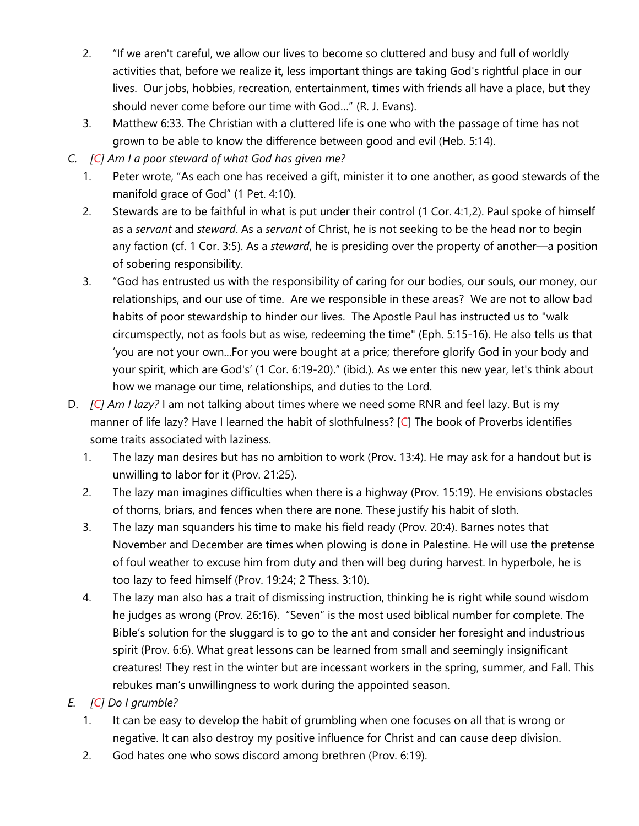- 2. "If we aren't careful, we allow our lives to become so cluttered and busy and full of worldly activities that, before we realize it, less important things are taking God's rightful place in our lives. Our jobs, hobbies, recreation, entertainment, times with friends all have a place, but they should never come before our time with God…" (R. J. Evans).
- 3. Matthew 6:33. The Christian with a cluttered life is one who with the passage of time has not grown to be able to know the difference between good and evil (Heb. 5:14).
- *C. [C] Am I a poor steward of what God has given me?* 
	- 1. Peter wrote, "As each one has received a gift, minister it to one another, as good stewards of the manifold grace of God" (1 Pet. 4:10).
	- 2. Stewards are to be faithful in what is put under their control (1 Cor. 4:1,2). Paul spoke of himself as a *servant* and *steward*. As a *servant* of Christ, he is not seeking to be the head nor to begin any faction (cf. 1 Cor. 3:5). As a *steward*, he is presiding over the property of another—a position of sobering responsibility.
	- 3. "God has entrusted us with the responsibility of caring for our bodies, our souls, our money, our relationships, and our use of time. Are we responsible in these areas? We are not to allow bad habits of poor stewardship to hinder our lives. The Apostle Paul has instructed us to "walk circumspectly, not as fools but as wise, redeeming the time" (Eph. 5:15-16). He also tells us that 'you are not your own...For you were bought at a price; therefore glorify God in your body and your spirit, which are God's' (1 Cor. 6:19-20)." (ibid.). As we enter this new year, let's think about how we manage our time, relationships, and duties to the Lord.
- D. *[C] Am I lazy?* I am not talking about times where we need some RNR and feel lazy. But is my manner of life lazy? Have I learned the habit of slothfulness? [C] The book of Proverbs identifies some traits associated with laziness.
	- 1. The lazy man desires but has no ambition to work (Prov. 13:4). He may ask for a handout but is unwilling to labor for it (Prov. 21:25).
	- 2. The lazy man imagines difficulties when there is a highway (Prov. 15:19). He envisions obstacles of thorns, briars, and fences when there are none. These justify his habit of sloth.
	- 3. The lazy man squanders his time to make his field ready (Prov. 20:4). Barnes notes that November and December are times when plowing is done in Palestine. He will use the pretense of foul weather to excuse him from duty and then will beg during harvest. In hyperbole, he is too lazy to feed himself (Prov. 19:24; 2 Thess. 3:10).
	- 4. The lazy man also has a trait of dismissing instruction, thinking he is right while sound wisdom he judges as wrong (Prov. 26:16). "Seven" is the most used biblical number for complete. The Bible's solution for the sluggard is to go to the ant and consider her foresight and industrious spirit (Prov. 6:6). What great lessons can be learned from small and seemingly insignificant creatures! They rest in the winter but are incessant workers in the spring, summer, and Fall. This rebukes man's unwillingness to work during the appointed season.
- *E. [C] Do I grumble?* 
	- 1. It can be easy to develop the habit of grumbling when one focuses on all that is wrong or negative. It can also destroy my positive influence for Christ and can cause deep division.
	- 2. God hates one who sows discord among brethren (Prov. 6:19).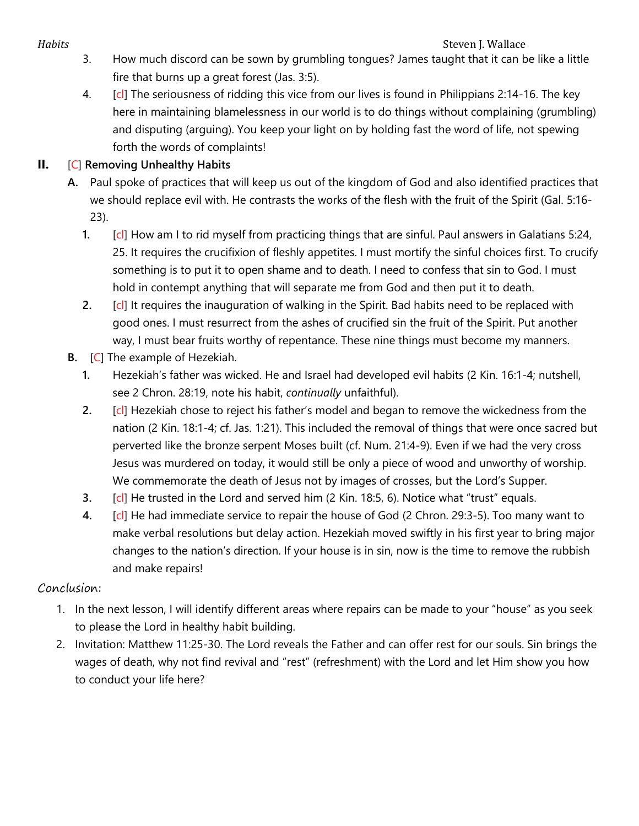- *Habits*<br>3. How much discord can be sown by grumbling tongues? James taught that it can b 3. How much discord can be sown by grumbling tongues? James taught that it can be like a little fire that burns up a great forest (Jas. 3:5).
	- 4. [cl] The seriousness of ridding this vice from our lives is found in Philippians 2:14-16. The key here in maintaining blamelessness in our world is to do things without complaining (grumbling) and disputing (arguing). You keep your light on by holding fast the word of life, not spewing forth the words of complaints!

## **II.** [C] **Removing Unhealthy Habits**

- **A.** Paul spoke of practices that will keep us out of the kingdom of God and also identified practices that we should replace evil with. He contrasts the works of the flesh with the fruit of the Spirit (Gal. 5:16- 23).
	- **1.** [cl] How am I to rid myself from practicing things that are sinful. Paul answers in Galatians 5:24, 25. It requires the crucifixion of fleshly appetites. I must mortify the sinful choices first. To crucify something is to put it to open shame and to death. I need to confess that sin to God. I must hold in contempt anything that will separate me from God and then put it to death.
	- **2.** [cl] It requires the inauguration of walking in the Spirit. Bad habits need to be replaced with good ones. I must resurrect from the ashes of crucified sin the fruit of the Spirit. Put another way, I must bear fruits worthy of repentance. These nine things must become my manners.
- **B.** [C] The example of Hezekiah.
	- **1.** Hezekiah's father was wicked. He and Israel had developed evil habits (2 Kin. 16:1-4; nutshell, see 2 Chron. 28:19, note his habit, *continually* unfaithful).
	- **2.** [cl] Hezekiah chose to reject his father's model and began to remove the wickedness from the nation (2 Kin. 18:1-4; cf. Jas. 1:21). This included the removal of things that were once sacred but perverted like the bronze serpent Moses built (cf. Num. 21:4-9). Even if we had the very cross Jesus was murdered on today, it would still be only a piece of wood and unworthy of worship. We commemorate the death of Jesus not by images of crosses, but the Lord's Supper.
	- **3.** [cl] He trusted in the Lord and served him (2 Kin. 18:5, 6). Notice what "trust" equals.
	- **4.** [cl] He had immediate service to repair the house of God (2 Chron. 29:3-5). Too many want to make verbal resolutions but delay action. Hezekiah moved swiftly in his first year to bring major changes to the nation's direction. If your house is in sin, now is the time to remove the rubbish and make repairs!

### Conclusion:

- 1. In the next lesson, I will identify different areas where repairs can be made to your "house" as you seek to please the Lord in healthy habit building.
- 2. Invitation: Matthew 11:25-30. The Lord reveals the Father and can offer rest for our souls. Sin brings the wages of death, why not find revival and "rest" (refreshment) with the Lord and let Him show you how to conduct your life here?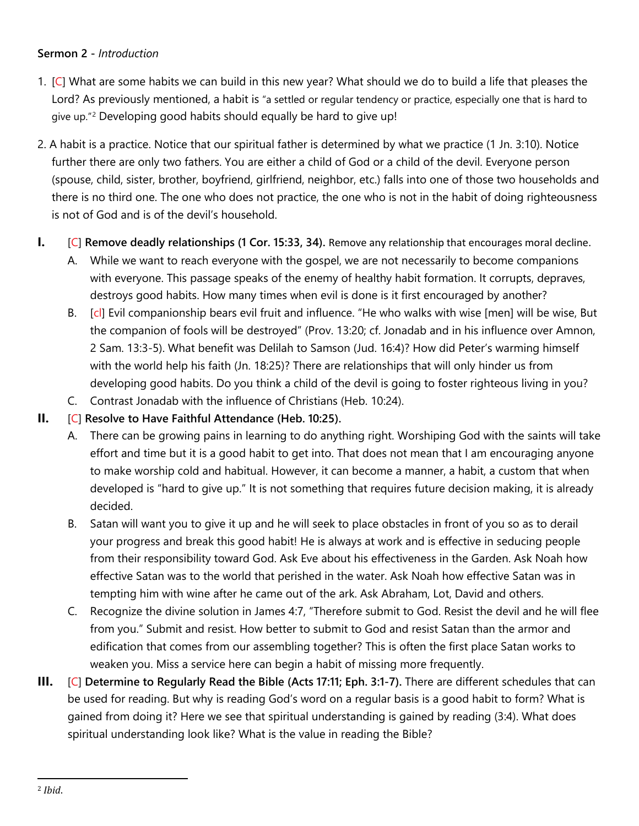#### **Sermon 2 -** *Introduction*

- 1. [C] What are some habits we can build in this new year? What should we do to build a life that pleases the Lord? As previously mentioned, a habit is "a settled or regular tendency or practice, especially one that is hard to give up."[2](#page-3-0) Developing good habits should equally be hard to give up!
- 2. A habit is a practice. Notice that our spiritual father is determined by what we practice (1 Jn. 3:10). Notice further there are only two fathers. You are either a child of God or a child of the devil. Everyone person (spouse, child, sister, brother, boyfriend, girlfriend, neighbor, etc.) falls into one of those two households and there is no third one. The one who does not practice, the one who is not in the habit of doing righteousness is not of God and is of the devil's household.
- **I.** [C] **Remove deadly relationships (1 Cor. 15:33, 34).** Remove any relationship that encourages moral decline.
	- A. While we want to reach everyone with the gospel, we are not necessarily to become companions with everyone. This passage speaks of the enemy of healthy habit formation. It corrupts, depraves, destroys good habits. How many times when evil is done is it first encouraged by another?
	- B. [cl] Evil companionship bears evil fruit and influence. "He who walks with wise [men] will be wise, But the companion of fools will be destroyed" (Prov. 13:20; cf. Jonadab and in his influence over Amnon, 2 Sam. 13:3-5). What benefit was Delilah to Samson (Jud. 16:4)? How did Peter's warming himself with the world help his faith (Jn. 18:25)? There are relationships that will only hinder us from developing good habits. Do you think a child of the devil is going to foster righteous living in you?
	- C. Contrast Jonadab with the influence of Christians (Heb. 10:24).

#### **II.** [C] **Resolve to Have Faithful Attendance (Heb. 10:25).**

- A. There can be growing pains in learning to do anything right. Worshiping God with the saints will take effort and time but it is a good habit to get into. That does not mean that I am encouraging anyone to make worship cold and habitual. However, it can become a manner, a habit, a custom that when developed is "hard to give up." It is not something that requires future decision making, it is already decided.
- B. Satan will want you to give it up and he will seek to place obstacles in front of you so as to derail your progress and break this good habit! He is always at work and is effective in seducing people from their responsibility toward God. Ask Eve about his effectiveness in the Garden. Ask Noah how effective Satan was to the world that perished in the water. Ask Noah how effective Satan was in tempting him with wine after he came out of the ark. Ask Abraham, Lot, David and others.
- C. Recognize the divine solution in James 4:7, "Therefore submit to God. Resist the devil and he will flee from you." Submit and resist. How better to submit to God and resist Satan than the armor and edification that comes from our assembling together? This is often the first place Satan works to weaken you. Miss a service here can begin a habit of missing more frequently.
- <span id="page-3-0"></span>**III.** [C] **Determine to Regularly Read the Bible (Acts 17:11; Eph. 3:1-7).** There are different schedules that can be used for reading. But why is reading God's word on a regular basis is a good habit to form? What is gained from doing it? Here we see that spiritual understanding is gained by reading (3:4). What does spiritual understanding look like? What is the value in reading the Bible?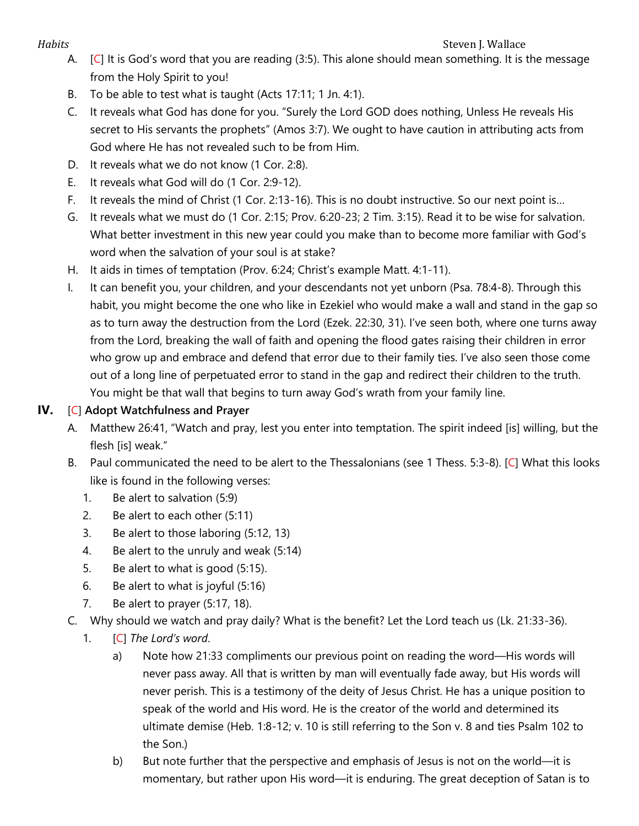#### *Habits* Steven J. Wallace **Steven J. Wallace** Steven J. Wallace **Steven J. Wallace**

- A. [C] It is God's word that you are reading (3:5). This alone should mean something. It is the message from the Holy Spirit to you!
- B. To be able to test what is taught (Acts 17:11; 1 Jn. 4:1).
- C. It reveals what God has done for you. "Surely the Lord GOD does nothing, Unless He reveals His secret to His servants the prophets" (Amos 3:7). We ought to have caution in attributing acts from God where He has not revealed such to be from Him.
- D. It reveals what we do not know (1 Cor. 2:8).
- E. It reveals what God will do (1 Cor. 2:9-12).
- F. It reveals the mind of Christ (1 Cor. 2:13-16). This is no doubt instructive. So our next point is…
- G. It reveals what we must do (1 Cor. 2:15; Prov. 6:20-23; 2 Tim. 3:15). Read it to be wise for salvation. What better investment in this new year could you make than to become more familiar with God's word when the salvation of your soul is at stake?
- H. It aids in times of temptation (Prov. 6:24; Christ's example Matt. 4:1-11).
- I. It can benefit you, your children, and your descendants not yet unborn (Psa. 78:4-8). Through this habit, you might become the one who like in Ezekiel who would make a wall and stand in the gap so as to turn away the destruction from the Lord (Ezek. 22:30, 31). I've seen both, where one turns away from the Lord, breaking the wall of faith and opening the flood gates raising their children in error who grow up and embrace and defend that error due to their family ties. I've also seen those come out of a long line of perpetuated error to stand in the gap and redirect their children to the truth. You might be that wall that begins to turn away God's wrath from your family line.

# **IV.** [C] **Adopt Watchfulness and Prayer**

- A. Matthew 26:41, "Watch and pray, lest you enter into temptation. The spirit indeed [is] willing, but the flesh [is] weak."
- B. Paul communicated the need to be alert to the Thessalonians (see 1 Thess. 5:3-8). [C] What this looks like is found in the following verses:
	- 1. Be alert to salvation (5:9)
	- 2. Be alert to each other (5:11)
	- 3. Be alert to those laboring (5:12, 13)
	- 4. Be alert to the unruly and weak (5:14)
	- 5. Be alert to what is good (5:15).
	- 6. Be alert to what is joyful (5:16)
	- 7. Be alert to prayer (5:17, 18).
- C. Why should we watch and pray daily? What is the benefit? Let the Lord teach us (Lk. 21:33-36).
	- 1. [C] *The Lord's word*.
		- a) Note how 21:33 compliments our previous point on reading the word—His words will never pass away. All that is written by man will eventually fade away, but His words will never perish. This is a testimony of the deity of Jesus Christ. He has a unique position to speak of the world and His word. He is the creator of the world and determined its ultimate demise (Heb. 1:8-12; v. 10 is still referring to the Son v. 8 and ties Psalm 102 to the Son.)
		- b) But note further that the perspective and emphasis of Jesus is not on the world—it is momentary, but rather upon His word—it is enduring. The great deception of Satan is to